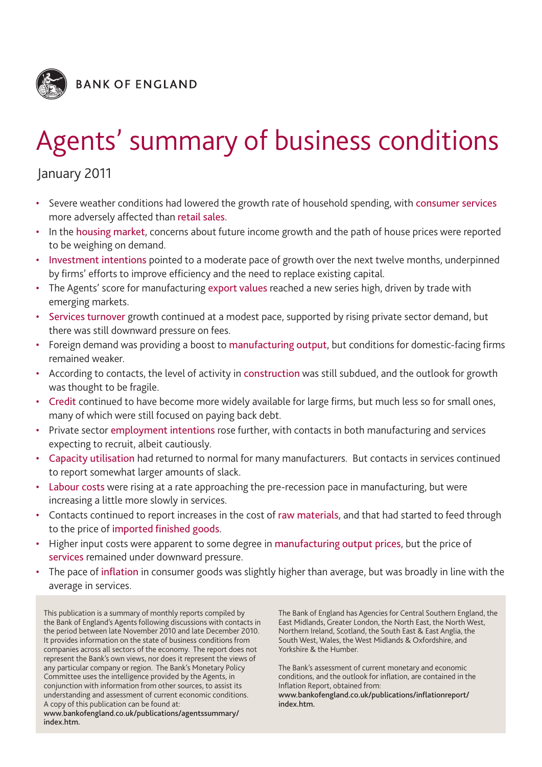

# Agents' summary of business conditions

## January 2011

- Severe weather conditions had lowered the growth rate of household spending, with consumer services more adversely affected than retail sales.
- In the housing market, concerns about future income growth and the path of house prices were reported to be weighing on demand.
- Investment intentions pointed to a moderate pace of growth over the next twelve months, underpinned by firms' efforts to improve efficiency and the need to replace existing capital.
- The Agents' score for manufacturing export values reached a new series high, driven by trade with emerging markets.
- Services turnover growth continued at a modest pace, supported by rising private sector demand, but there was still downward pressure on fees.
- Foreign demand was providing a boost to manufacturing output, but conditions for domestic-facing firms remained weaker.
- According to contacts, the level of activity in construction was still subdued, and the outlook for growth was thought to be fragile.
- Credit continued to have become more widely available for large firms, but much less so for small ones, many of which were still focused on paying back debt.
- Private sector employment intentions rose further, with contacts in both manufacturing and services expecting to recruit, albeit cautiously.
- Capacity utilisation had returned to normal for many manufacturers. But contacts in services continued to report somewhat larger amounts of slack.
- Labour costs were rising at a rate approaching the pre-recession pace in manufacturing, but were increasing a little more slowly in services.
- Contacts continued to report increases in the cost of raw materials, and that had started to feed through to the price of imported finished goods.
- Higher input costs were apparent to some degree in manufacturing output prices, but the price of services remained under downward pressure.
- The pace of inflation in consumer goods was slightly higher than average, but was broadly in line with the average in services.

This publication is a summary of monthly reports compiled by the Bank of England's Agents following discussions with contacts in the period between late November 2010 and late December 2010. It provides information on the state of business conditions from companies across all sectors of the economy. The report does not represent the Bank's own views, nor does it represent the views of any particular company or region. The Bank's Monetary Policy Committee uses the intelligence provided by the Agents, in conjunction with information from other sources, to assist its understanding and assessment of current economic conditions. A copy of this publication can be found at:

**www.bankofengland.co.uk/publications/agentssummary/ index.htm.**

The Bank of England has Agencies for Central Southern England, the East Midlands, Greater London, the North East, the North West, Northern Ireland, Scotland, the South East & East Anglia, the South West, Wales, the West Midlands & Oxfordshire, and Yorkshire & the Humber.

The Bank's assessment of current monetary and economic conditions, and the outlook for inflation, are contained in the Inflation Report, obtained from:

**www.bankofengland.co.uk/publications/inflationreport/ index.htm.**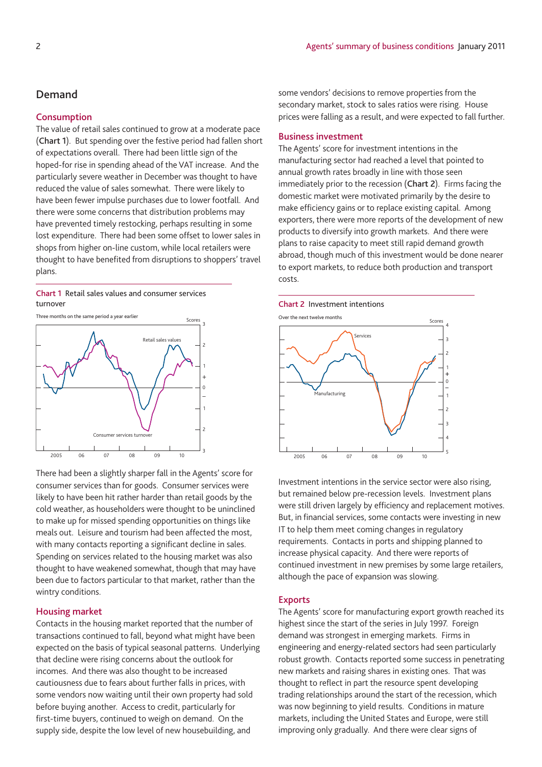## **Demand**

## **Consumption**

The value of retail sales continued to grow at a moderate pace (**Chart 1**). But spending over the festive period had fallen short of expectations overall. There had been little sign of the hoped-for rise in spending ahead of the VAT increase. And the particularly severe weather in December was thought to have reduced the value of sales somewhat. There were likely to have been fewer impulse purchases due to lower footfall. And there were some concerns that distribution problems may have prevented timely restocking, perhaps resulting in some lost expenditure. There had been some offset to lower sales in shops from higher on-line custom, while local retailers were thought to have benefited from disruptions to shoppers' travel plans.

### **Chart 1** Retail sales values and consumer services turnover **Chart 2** Investment intentions



There had been a slightly sharper fall in the Agents' score for consumer services than for goods. Consumer services were likely to have been hit rather harder than retail goods by the cold weather, as householders were thought to be uninclined to make up for missed spending opportunities on things like meals out. Leisure and tourism had been affected the most, with many contacts reporting a significant decline in sales. Spending on services related to the housing market was also thought to have weakened somewhat, though that may have been due to factors particular to that market, rather than the wintry conditions.

## **Housing market**

Contacts in the housing market reported that the number of transactions continued to fall, beyond what might have been expected on the basis of typical seasonal patterns. Underlying that decline were rising concerns about the outlook for incomes. And there was also thought to be increased cautiousness due to fears about further falls in prices, with some vendors now waiting until their own property had sold before buying another. Access to credit, particularly for first-time buyers, continued to weigh on demand. On the supply side, despite the low level of new housebuilding, and

some vendors' decisions to remove properties from the secondary market, stock to sales ratios were rising. House prices were falling as a result, and were expected to fall further.

### **Business investment**

The Agents' score for investment intentions in the manufacturing sector had reached a level that pointed to annual growth rates broadly in line with those seen immediately prior to the recession (**Chart 2**). Firms facing the domestic market were motivated primarily by the desire to make efficiency gains or to replace existing capital. Among exporters, there were more reports of the development of new products to diversify into growth markets. And there were plans to raise capacity to meet still rapid demand growth abroad, though much of this investment would be done nearer to export markets, to reduce both production and transport costs.



Investment intentions in the service sector were also rising, but remained below pre-recession levels. Investment plans were still driven largely by efficiency and replacement motives. But, in financial services, some contacts were investing in new IT to help them meet coming changes in regulatory requirements. Contacts in ports and shipping planned to increase physical capacity. And there were reports of continued investment in new premises by some large retailers, although the pace of expansion was slowing.

#### **Exports**

The Agents' score for manufacturing export growth reached its highest since the start of the series in July 1997. Foreign demand was strongest in emerging markets. Firms in engineering and energy-related sectors had seen particularly robust growth. Contacts reported some success in penetrating new markets and raising shares in existing ones. That was thought to reflect in part the resource spent developing trading relationships around the start of the recession, which was now beginning to yield results. Conditions in mature markets, including the United States and Europe, were still improving only gradually. And there were clear signs of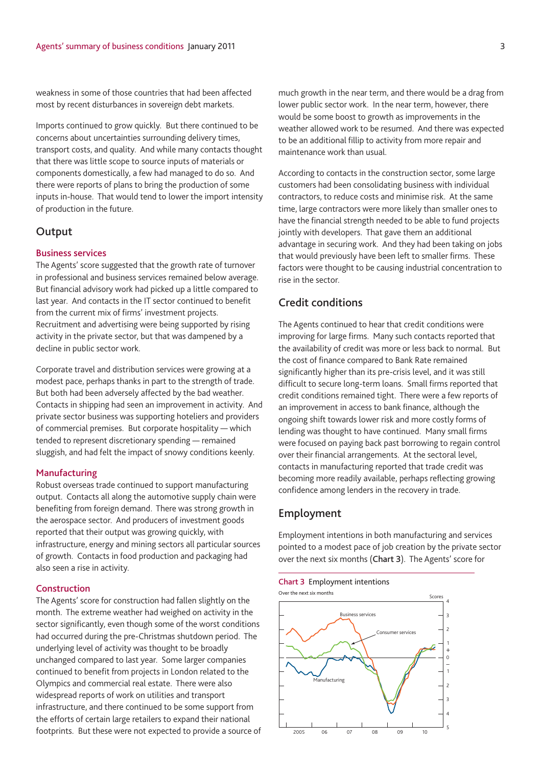weakness in some of those countries that had been affected most by recent disturbances in sovereign debt markets.

Imports continued to grow quickly. But there continued to be concerns about uncertainties surrounding delivery times, transport costs, and quality. And while many contacts thought that there was little scope to source inputs of materials or components domestically, a few had managed to do so. And there were reports of plans to bring the production of some inputs in-house. That would tend to lower the import intensity of production in the future.

## **Output**

## **Business services**

The Agents' score suggested that the growth rate of turnover in professional and business services remained below average. But financial advisory work had picked up a little compared to last year. And contacts in the IT sector continued to benefit from the current mix of firms' investment projects. Recruitment and advertising were being supported by rising activity in the private sector, but that was dampened by a decline in public sector work.

Corporate travel and distribution services were growing at a modest pace, perhaps thanks in part to the strength of trade. But both had been adversely affected by the bad weather. Contacts in shipping had seen an improvement in activity. And private sector business was supporting hoteliers and providers of commercial premises. But corporate hospitality — which tended to represent discretionary spending — remained sluggish, and had felt the impact of snowy conditions keenly.

## **Manufacturing**

Robust overseas trade continued to support manufacturing output. Contacts all along the automotive supply chain were benefiting from foreign demand. There was strong growth in the aerospace sector. And producers of investment goods reported that their output was growing quickly, with infrastructure, energy and mining sectors all particular sources of growth. Contacts in food production and packaging had also seen a rise in activity.

## **Construction**

The Agents' score for construction had fallen slightly on the month. The extreme weather had weighed on activity in the sector significantly, even though some of the worst conditions had occurred during the pre-Christmas shutdown period. The underlying level of activity was thought to be broadly unchanged compared to last year. Some larger companies continued to benefit from projects in London related to the Olympics and commercial real estate. There were also widespread reports of work on utilities and transport infrastructure, and there continued to be some support from the efforts of certain large retailers to expand their national footprints. But these were not expected to provide a source of much growth in the near term, and there would be a drag from lower public sector work. In the near term, however, there would be some boost to growth as improvements in the weather allowed work to be resumed. And there was expected to be an additional fillip to activity from more repair and maintenance work than usual.

According to contacts in the construction sector, some large customers had been consolidating business with individual contractors, to reduce costs and minimise risk. At the same time, large contractors were more likely than smaller ones to have the financial strength needed to be able to fund projects jointly with developers. That gave them an additional advantage in securing work. And they had been taking on jobs that would previously have been left to smaller firms. These factors were thought to be causing industrial concentration to rise in the sector.

## **Credit conditions**

The Agents continued to hear that credit conditions were improving for large firms. Many such contacts reported that the availability of credit was more or less back to normal. But the cost of finance compared to Bank Rate remained significantly higher than its pre-crisis level, and it was still difficult to secure long-term loans. Small firms reported that credit conditions remained tight. There were a few reports of an improvement in access to bank finance, although the ongoing shift towards lower risk and more costly forms of lending was thought to have continued. Many small firms were focused on paying back past borrowing to regain control over their financial arrangements. At the sectoral level, contacts in manufacturing reported that trade credit was becoming more readily available, perhaps reflecting growing confidence among lenders in the recovery in trade.

## **Employment**

Employment intentions in both manufacturing and services pointed to a modest pace of job creation by the private sector over the next six months (**Chart 3**). The Agents' score for

#### **Chart 3** Employment intentions

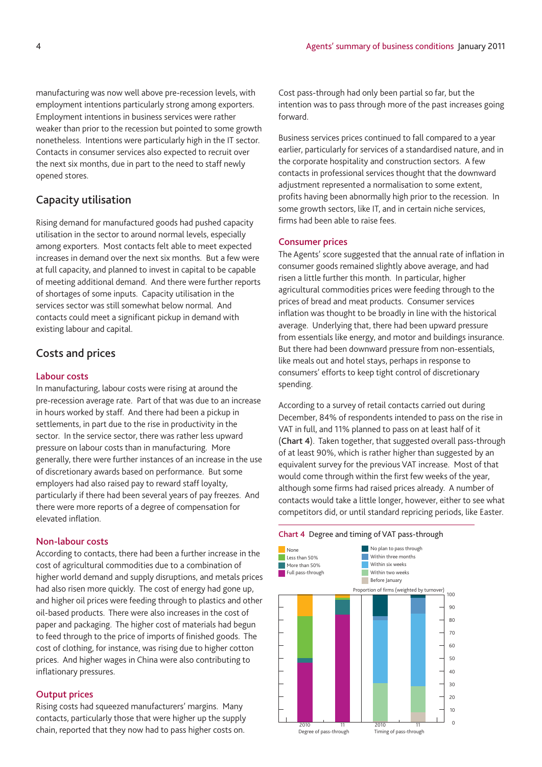manufacturing was now well above pre-recession levels, with employment intentions particularly strong among exporters. Employment intentions in business services were rather weaker than prior to the recession but pointed to some growth nonetheless. Intentions were particularly high in the IT sector. Contacts in consumer services also expected to recruit over the next six months, due in part to the need to staff newly opened stores.

## **Capacity utilisation**

Rising demand for manufactured goods had pushed capacity utilisation in the sector to around normal levels, especially among exporters. Most contacts felt able to meet expected increases in demand over the next six months. But a few were at full capacity, and planned to invest in capital to be capable of meeting additional demand. And there were further reports of shortages of some inputs. Capacity utilisation in the services sector was still somewhat below normal. And contacts could meet a significant pickup in demand with existing labour and capital.

## **Costs and prices**

## **Labour costs**

In manufacturing, labour costs were rising at around the pre-recession average rate. Part of that was due to an increase in hours worked by staff. And there had been a pickup in settlements, in part due to the rise in productivity in the sector. In the service sector, there was rather less upward pressure on labour costs than in manufacturing. More generally, there were further instances of an increase in the use of discretionary awards based on performance. But some employers had also raised pay to reward staff loyalty, particularly if there had been several years of pay freezes. And there were more reports of a degree of compensation for elevated inflation.

## **Non-labour costs**

According to contacts, there had been a further increase in the cost of agricultural commodities due to a combination of higher world demand and supply disruptions, and metals prices had also risen more quickly. The cost of energy had gone up, and higher oil prices were feeding through to plastics and other oil-based products. There were also increases in the cost of paper and packaging. The higher cost of materials had begun to feed through to the price of imports of finished goods. The cost of clothing, for instance, was rising due to higher cotton prices. And higher wages in China were also contributing to inflationary pressures.

#### **Output prices**

Rising costs had squeezed manufacturers' margins. Many contacts, particularly those that were higher up the supply chain, reported that they now had to pass higher costs on.

Cost pass-through had only been partial so far, but the intention was to pass through more of the past increases going forward.

Business services prices continued to fall compared to a year earlier, particularly for services of a standardised nature, and in the corporate hospitality and construction sectors. A few contacts in professional services thought that the downward adjustment represented a normalisation to some extent, profits having been abnormally high prior to the recession. In some growth sectors, like IT, and in certain niche services, firms had been able to raise fees.

## **Consumer prices**

The Agents' score suggested that the annual rate of inflation in consumer goods remained slightly above average, and had risen a little further this month. In particular, higher agricultural commodities prices were feeding through to the prices of bread and meat products. Consumer services inflation was thought to be broadly in line with the historical average. Underlying that, there had been upward pressure from essentials like energy, and motor and buildings insurance. But there had been downward pressure from non-essentials, like meals out and hotel stays, perhaps in response to consumers' efforts to keep tight control of discretionary spending.

According to a survey of retail contacts carried out during December, 84% of respondents intended to pass on the rise in VAT in full, and 11% planned to pass on at least half of it (**Chart 4**). Taken together, that suggested overall pass-through of at least 90%, which is rather higher than suggested by an equivalent survey for the previous VAT increase. Most of that would come through within the first few weeks of the year, although some firms had raised prices already. A number of contacts would take a little longer, however, either to see what competitors did, or until standard repricing periods, like Easter.